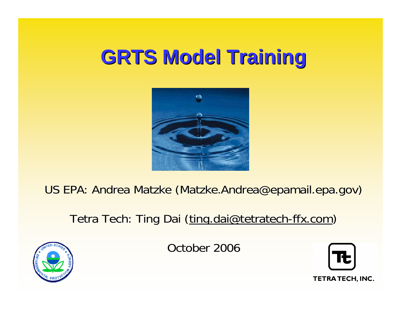#### **GRTS Model Training GRTS Model Training**



US EPA: Andrea Matzke (Matzke.Andrea@epamail.epa.gov)

#### Tetra Tech: Ting Dai (ting.dai@tetratech-ffx.com)



October 2006



TETRA TECH, INC.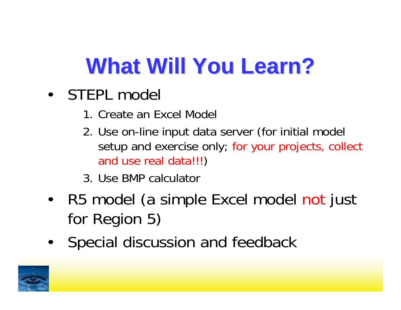# **What Will You Learn?**

- STEPL model
	- 1. Create an Excel Model
	- 2. Use on-line input data server (for initial model setup and exercise only; for your projects, collect and use real data!!! )
	- 3. Use BMP calculator
- • R5 model (a simple Excel model not just for Region 5)
- $\bullet$ Special discussion and feedback

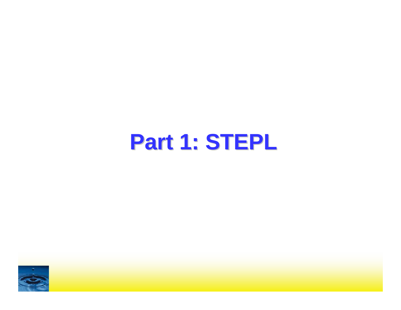#### **Part 1: STEPL**

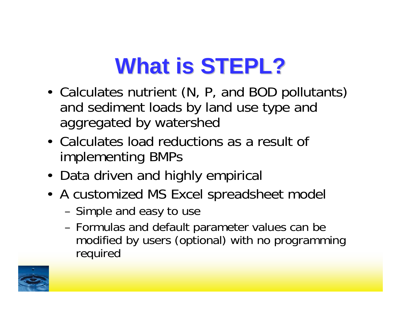## **What is STEPL?**

- • Calculates nutrient (N, P, and BOD pollutants) and sediment loads by land use type and aggregated by watershed
- Calculates load reductions as a result of implementing BMPs
- Data driven and highly empirical
- A customized MS Excel spreadsheet model
	- –Simple and easy to use
	- – Formulas and default parameter values can be modified by users (optional) with no programming required

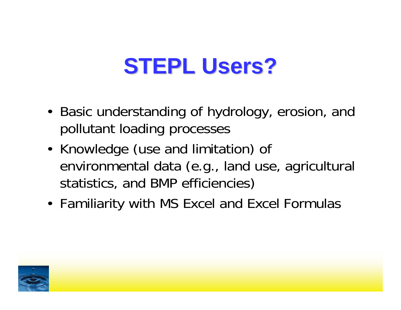#### **STEPL Users?**

- Basic understanding of hydrology, erosion, and pollutant loading processes
- • Knowledge (use and limitation) of environmental data (e.g., land use, agricultural statistics, and BMP efficiencies)
- Familiarity with MS Excel and Excel Formulas

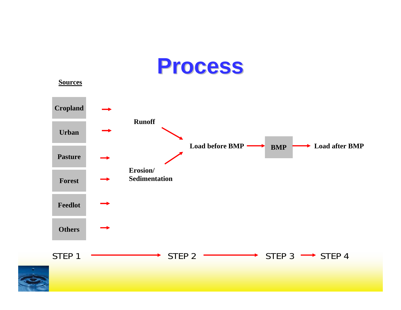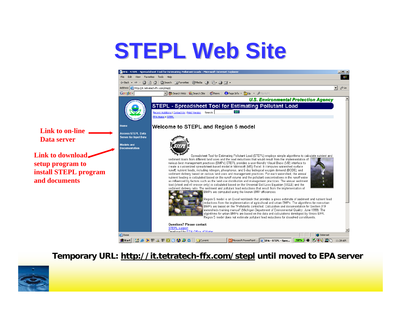#### **STEPL Web Site STEPL Web Site**



**Temporary URL: http://it.tetratech-ffx.com/stepl until moved to EPA server**

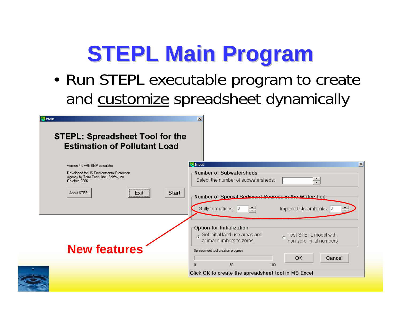# **STEPL Main Program STEPL Main Program**

• Run STEPL executable program to create and <u>customize</u> spreadsheet dynamically

| ₩Main<br><b>STEPL: Spreadsheet Tool for the</b><br><b>Estimation of Pollutant Load</b>                 | $\vert x \vert$                                                                                                                                        |
|--------------------------------------------------------------------------------------------------------|--------------------------------------------------------------------------------------------------------------------------------------------------------|
| Version 4.0 with BMP calculator                                                                        | $\vert x \vert$<br><b>W</b> Input                                                                                                                      |
| Developed for US Environmental Protection<br>Agency by Tetra Tech, Inc., Fairfax, VA.<br>October, 2006 | Number of Subwatersheds<br>Select the number of subwatersheds:<br>$\overline{\phantom{a}}$                                                             |
| Start<br>About STEPL<br>Exit                                                                           | Number of Special Sediment Sources in the Watershed<br>Gully formations: 0<br>Impaired streambanks: 0<br>÷                                             |
|                                                                                                        | Option for Initialization<br>$_{\odot}$ Set initial land use areas and<br>Test STEPL model with<br>animal numbers to zeros<br>non-zero initial numbers |
| <b>New features</b>                                                                                    | Spreadsheet tool creation progress:<br>OK<br>Cancel<br>50<br>$\Box$<br>100                                                                             |
|                                                                                                        | Click OK to create the spreadsheet tool in MS Excel                                                                                                    |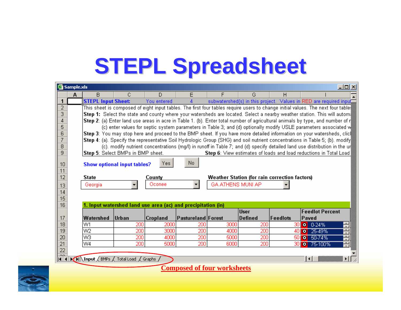## **STEPL Spreadsheet STEPL Spreadsheet**

|                 | <b>图 Sample.xls</b>                                                                                                                           |                                                                                                                                                     |                                                              |                 |                    |                          |             |                                               | $\Box$ o $\Box$                                                                                                                              |  |
|-----------------|-----------------------------------------------------------------------------------------------------------------------------------------------|-----------------------------------------------------------------------------------------------------------------------------------------------------|--------------------------------------------------------------|-----------------|--------------------|--------------------------|-------------|-----------------------------------------------|----------------------------------------------------------------------------------------------------------------------------------------------|--|
|                 | A                                                                                                                                             | в                                                                                                                                                   | С                                                            | D               | Ε                  | F                        | G           | н                                             |                                                                                                                                              |  |
|                 |                                                                                                                                               | <b>STEPL Input Sheet:</b>                                                                                                                           |                                                              | You entered     | 4                  |                          |             |                                               | subwatershed(s) in this project. Values in RED are required input                                                                            |  |
| $\overline{2}$  | This sheet is composed of eight input tables. The first four tables require users to change initial values. The next four table $\frac{8}{9}$ |                                                                                                                                                     |                                                              |                 |                    |                          |             |                                               |                                                                                                                                              |  |
| $\overline{3}$  |                                                                                                                                               |                                                                                                                                                     |                                                              |                 |                    |                          |             |                                               | <b>Step 1:</b> Select the state and county where your watersheds are located. Select a nearby weather station. This will autom $\frac{3}{4}$ |  |
| $\overline{4}$  |                                                                                                                                               | <b>Step 2</b> : (a) Enter land use areas in acre in Table 1. (b). Enter total number of agricultural animals by type, and number of r $\frac{4}{3}$ |                                                              |                 |                    |                          |             |                                               |                                                                                                                                              |  |
| 5               |                                                                                                                                               |                                                                                                                                                     |                                                              |                 |                    |                          |             |                                               | (c) enter values for septic system parameters in Table 3; and (d) optionally modify USLE parameters associated w                             |  |
| $\overline{6}$  |                                                                                                                                               |                                                                                                                                                     |                                                              |                 |                    |                          |             |                                               | Step 3: You may stop here and proceed to the BMP sheet. If you have more detailed information on your watersheds, clic                       |  |
| $\overline{7}$  |                                                                                                                                               |                                                                                                                                                     |                                                              |                 |                    |                          |             |                                               | Step 4: (a). Specify the representative Soil Hydrologic Group (SHG) and soil nutrient concentrations in Table 5; (b). modify                 |  |
| 8               |                                                                                                                                               |                                                                                                                                                     |                                                              |                 |                    |                          |             |                                               | (c). modify nutrient concentrations (mg/l) in runoff in Table 7; and (d) specify detailed land use distribution in the ur                    |  |
| 9               |                                                                                                                                               |                                                                                                                                                     | Step 5: Select BMPs in BMP sheet.                            |                 |                    |                          |             |                                               | Step 6: View estimates of loads and load reductions in Total Load                                                                            |  |
|                 |                                                                                                                                               |                                                                                                                                                     |                                                              |                 |                    |                          |             |                                               |                                                                                                                                              |  |
| 10 <sub>1</sub> |                                                                                                                                               |                                                                                                                                                     | Show optional input tables?                                  | Yes             | No.                |                          |             |                                               |                                                                                                                                              |  |
| 11              |                                                                                                                                               |                                                                                                                                                     |                                                              |                 |                    |                          |             |                                               |                                                                                                                                              |  |
| 12              |                                                                                                                                               | <b>State</b>                                                                                                                                        |                                                              | County          |                    |                          |             | Weather Station (for rain correction factors) |                                                                                                                                              |  |
| 13              |                                                                                                                                               | Georgia                                                                                                                                             |                                                              | Oconee          |                    | <b>GA ATHENS MUNI AP</b> |             |                                               |                                                                                                                                              |  |
| 14              |                                                                                                                                               |                                                                                                                                                     |                                                              |                 |                    |                          |             |                                               |                                                                                                                                              |  |
| $\overline{15}$ |                                                                                                                                               |                                                                                                                                                     |                                                              |                 |                    |                          |             |                                               |                                                                                                                                              |  |
| $\overline{16}$ |                                                                                                                                               |                                                                                                                                                     | 1. Input watershed land use area (ac) and precipitation (in) |                 |                    |                          |             |                                               |                                                                                                                                              |  |
|                 |                                                                                                                                               |                                                                                                                                                     |                                                              |                 |                    |                          | <b>User</b> |                                               | <b>Feedlot Percent</b>                                                                                                                       |  |
| 17              |                                                                                                                                               | Watershed                                                                                                                                           | Urban                                                        | <b>Cropland</b> | Pastureland Forest |                          | Defined     | Feedlots                                      | Paved                                                                                                                                        |  |
| 18              |                                                                                                                                               | W1                                                                                                                                                  | 200                                                          | 2000            | 200                | 3000                     | 200         | 30                                            | ÷<br>$0-24%$<br>$\bullet$                                                                                                                    |  |
| 19              |                                                                                                                                               | W2                                                                                                                                                  | 200                                                          | 3000            | 200                | 4000                     | 200         | 40                                            | 0 25-49%<br>$\overline{\cdot}$                                                                                                               |  |
| 20              |                                                                                                                                               | W3                                                                                                                                                  | 200                                                          | 4000            | 200                | 5000                     | 200         | 50                                            | $\sim$ 1<br>$0.50 - 74%$<br>$\overline{\cdot}$                                                                                               |  |
| $\overline{21}$ |                                                                                                                                               | W4                                                                                                                                                  | 200                                                          | 5000            | 200                | 6000                     | 200         | 301                                           | 늮<br><b>o</b> 75-100%                                                                                                                        |  |
| $\overline{22}$ |                                                                                                                                               |                                                                                                                                                     |                                                              |                 |                    |                          |             |                                               |                                                                                                                                              |  |
| ഹ               |                                                                                                                                               |                                                                                                                                                     | II I MI Input BMPs (Total Load Graphs)                       |                 |                    |                          |             |                                               | ▸║<br>$\blacktriangleleft$                                                                                                                   |  |

**Composed of four worksheets**

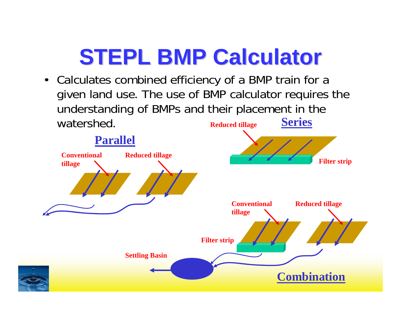### **STEPL BMP Calculator STEPL BMP Calculator**

• Calculates combined efficiency of a BMP train for a given land use. The use of BMP calculator requires the understanding of BMPs and their placement in the watershed.**Reduced tillage Series**

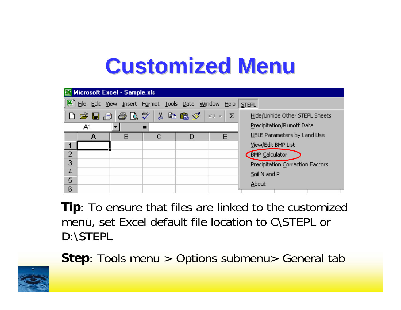#### **Customized Menu Customized Menu**

|   | Microsoft Excel - Sample.xls |   |                                                     |   |   |                                  |  |  |  |  |  |
|---|------------------------------|---|-----------------------------------------------------|---|---|----------------------------------|--|--|--|--|--|
|   |                              |   | File Edit View Insert Format Tools Data Window Help |   |   | <b>STEPL</b>                     |  |  |  |  |  |
|   |                              |   |                                                     |   |   | Hide/Unhide Other STEPL Sheets   |  |  |  |  |  |
|   | A1                           |   |                                                     |   |   | Precipitation/Runoff Data        |  |  |  |  |  |
|   | д                            | B |                                                     | D | F | USLE Parameters by Land Use      |  |  |  |  |  |
|   |                              |   |                                                     |   |   | View/Edit BMP List               |  |  |  |  |  |
| 2 |                              |   |                                                     |   |   | BMP Calculator                   |  |  |  |  |  |
| Э |                              |   |                                                     |   |   | Precipitation Correction Factors |  |  |  |  |  |
| 4 |                              |   |                                                     |   |   | Soil N and P                     |  |  |  |  |  |
| 5 |                              |   |                                                     |   |   | About                            |  |  |  |  |  |
| 6 |                              |   |                                                     |   |   |                                  |  |  |  |  |  |

**Tip**: To ensure that files are linked to the customized menu, set Excel default file location to C\STEPL or D:\STEPL



**Step**: Tools menu > Options submenu> General tab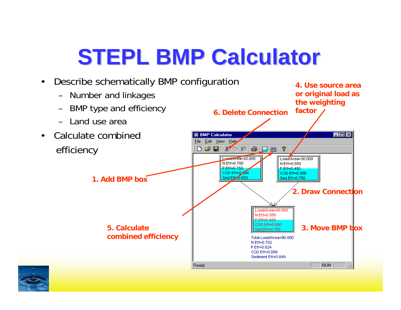## **STEPL BMP Calculator**



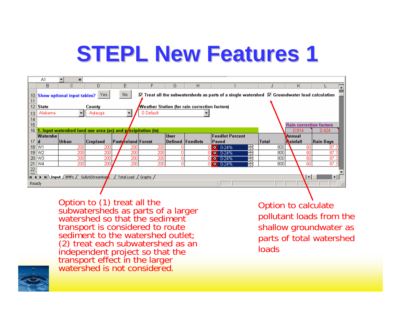### **STEPL New Features 1 STEPL New Features 1**

| в<br>D<br>E.<br>G<br>C.<br>Н<br>Κ<br>No.<br>Yes:<br><b>Show optional input tables?</b><br>10 <sub>1</sub><br>11<br>12 <sub>2</sub><br>  State<br>Weather Station (for rain correction factors)<br>County<br>0 Default<br>Alabama<br>Autauga<br>13<br>14<br>15<br><b>Rain correction factors</b><br>16<br>1. Input watershed land use area (ac) and pecipitation (in)<br>0.814<br>0.424<br><b>Feedlot Percent</b><br><b>User</b><br>Watershe l<br>Annual<br>17<br>Defined Feedlots<br> Urban <br><b>Pasty</b> reland Forest<br> Total<br><b>Nainfall</b><br> Cropland <br>Paved<br>ld.<br>18 W1<br>200<br>800<br>200<br>200<br>듣<br>200<br>60<br>0 0.24%<br>19 W <sub>2</sub><br>200 <sub>1</sub><br>200<br>200<br>200 <sub>1</sub><br>800<br>60<br>0<br>E<br>$O = 0.24%$ | A1                                                                                                                      | $=$ |     |     |     |   |  |                  |  |    |           |
|--------------------------------------------------------------------------------------------------------------------------------------------------------------------------------------------------------------------------------------------------------------------------------------------------------------------------------------------------------------------------------------------------------------------------------------------------------------------------------------------------------------------------------------------------------------------------------------------------------------------------------------------------------------------------------------------------------------------------------------------------------------------------|-------------------------------------------------------------------------------------------------------------------------|-----|-----|-----|-----|---|--|------------------|--|----|-----------|
|                                                                                                                                                                                                                                                                                                                                                                                                                                                                                                                                                                                                                                                                                                                                                                          |                                                                                                                         |     |     |     |     |   |  |                  |  |    |           |
|                                                                                                                                                                                                                                                                                                                                                                                                                                                                                                                                                                                                                                                                                                                                                                          | $\triangledown$ Treat all the subwatersheds as parts of a single watershed $\triangledown$ Groundwater load calculation |     |     |     |     |   |  |                  |  |    |           |
|                                                                                                                                                                                                                                                                                                                                                                                                                                                                                                                                                                                                                                                                                                                                                                          |                                                                                                                         |     |     |     |     |   |  |                  |  |    |           |
|                                                                                                                                                                                                                                                                                                                                                                                                                                                                                                                                                                                                                                                                                                                                                                          |                                                                                                                         |     |     |     |     |   |  |                  |  |    |           |
|                                                                                                                                                                                                                                                                                                                                                                                                                                                                                                                                                                                                                                                                                                                                                                          |                                                                                                                         |     |     |     |     |   |  |                  |  |    |           |
|                                                                                                                                                                                                                                                                                                                                                                                                                                                                                                                                                                                                                                                                                                                                                                          |                                                                                                                         |     |     |     |     |   |  |                  |  |    |           |
|                                                                                                                                                                                                                                                                                                                                                                                                                                                                                                                                                                                                                                                                                                                                                                          |                                                                                                                         |     |     |     |     |   |  |                  |  |    |           |
|                                                                                                                                                                                                                                                                                                                                                                                                                                                                                                                                                                                                                                                                                                                                                                          |                                                                                                                         |     |     |     |     |   |  |                  |  |    |           |
|                                                                                                                                                                                                                                                                                                                                                                                                                                                                                                                                                                                                                                                                                                                                                                          |                                                                                                                         |     |     |     |     |   |  |                  |  |    |           |
|                                                                                                                                                                                                                                                                                                                                                                                                                                                                                                                                                                                                                                                                                                                                                                          |                                                                                                                         |     |     |     |     |   |  |                  |  |    | Rain Days |
|                                                                                                                                                                                                                                                                                                                                                                                                                                                                                                                                                                                                                                                                                                                                                                          |                                                                                                                         |     |     |     |     |   |  |                  |  |    | 87.3      |
| 20 W <sub>3</sub><br>800                                                                                                                                                                                                                                                                                                                                                                                                                                                                                                                                                                                                                                                                                                                                                 |                                                                                                                         |     |     |     |     |   |  |                  |  |    | 87.3      |
| W4<br>200 l<br>200<br>0<br>21<br>200<br>800<br>60<br>E<br>$\mathbf{0}$ o 0-24%                                                                                                                                                                                                                                                                                                                                                                                                                                                                                                                                                                                                                                                                                           |                                                                                                                         | 200 | 200 | 200 | 200 | ٥ |  | E<br>$0 - 0.24%$ |  | 60 | 87.3      |
| 22                                                                                                                                                                                                                                                                                                                                                                                                                                                                                                                                                                                                                                                                                                                                                                       |                                                                                                                         |     |     |     | 200 |   |  |                  |  |    | 87.3      |
| $\cap$<br>$ A \mid A $ >   >   \ Input $\angle$ BMPs $\angle$<br>Gully&Streambark<br>Total Load (Graphs)                                                                                                                                                                                                                                                                                                                                                                                                                                                                                                                                                                                                                                                                 |                                                                                                                         |     |     |     |     |   |  |                  |  |    |           |
| Ready                                                                                                                                                                                                                                                                                                                                                                                                                                                                                                                                                                                                                                                                                                                                                                    |                                                                                                                         |     |     |     |     |   |  |                  |  |    |           |

Option to (1) treat all the<br>subwatersheds as parts of a larger<br>watershed so that the sediment transport is considered to route<br>sediment to the watershed outlet; (2) treat each subwatershed as an<br>independent project so that the<br>transport effect in the larger<br>watershed is not considered.

Option to calculate pollutant loads from the shallow groundwater as parts of total watershed loads

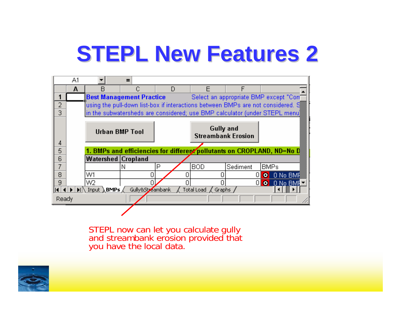### **STEPL New Features 2**



STEPL now can let you calculate gully and streambank erosion provided that you have the local data.

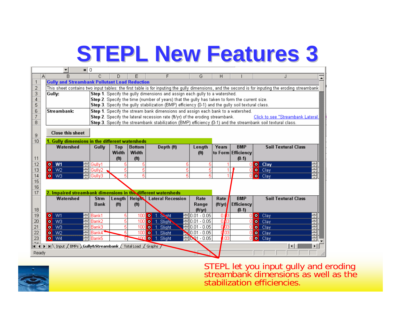### **STEPL New Features 3 STEPL New Features 3**

|                         | $= 10$                                                                                                                                            |                                                                                                   |                   |                   |                                                                                                             |                           |                 |                       |                       |                                  |                             |
|-------------------------|---------------------------------------------------------------------------------------------------------------------------------------------------|---------------------------------------------------------------------------------------------------|-------------------|-------------------|-------------------------------------------------------------------------------------------------------------|---------------------------|-----------------|-----------------------|-----------------------|----------------------------------|-----------------------------|
| А                       | R                                                                                                                                                 | С                                                                                                 | D                 |                   | F                                                                                                           | G                         | Н               |                       |                       |                                  |                             |
| $\mathbf{1}$            | <b>Gully and Streambank Pollutant Load Reduction</b>                                                                                              |                                                                                                   |                   |                   |                                                                                                             |                           |                 |                       |                       |                                  |                             |
| 2                       | This sheet contains two input tables: the first table is for inputing the gully dimensions, and the second is for inputing the eroding streambank |                                                                                                   |                   |                   |                                                                                                             |                           |                 |                       |                       |                                  |                             |
| $\overline{\mathbf{3}}$ | Gully:                                                                                                                                            |                                                                                                   |                   |                   | Step 1. Specify the gully dimensions and assign each gully to a watershed.                                  |                           |                 |                       |                       |                                  |                             |
| 4                       |                                                                                                                                                   |                                                                                                   |                   |                   | Step 2. Specify the time (number of years) that the gully has taken to form the current size.               |                           |                 |                       |                       |                                  |                             |
| 5                       |                                                                                                                                                   | Step 3. Specify the gully stabilization (BMP) efficiency (0-1) and the gully soil textural class. |                   |                   |                                                                                                             |                           |                 |                       |                       |                                  |                             |
|                         | 6<br>Streambank:<br>Step 1. Specify the stream bank dimensions and assign each bank to a watershed.                                               |                                                                                                   |                   |                   |                                                                                                             |                           |                 |                       |                       |                                  |                             |
| $\overline{7}$          |                                                                                                                                                   |                                                                                                   |                   |                   | Step 2. Specify the lateral recession rate (ft/yr) of the eroding streambank.                               |                           |                 |                       |                       | Click to see "Streambank Lateral |                             |
| 8.                      |                                                                                                                                                   |                                                                                                   |                   |                   | Step 3. Specify the streambank stabilization (BMP) efficiency (0-1) and the streambank soil textural class. |                           |                 |                       |                       |                                  |                             |
|                         | <b>Close this sheet</b>                                                                                                                           |                                                                                                   |                   |                   |                                                                                                             |                           |                 |                       |                       |                                  |                             |
| 9                       |                                                                                                                                                   |                                                                                                   |                   |                   |                                                                                                             |                           |                 |                       |                       |                                  |                             |
| 10                      | 1. Gully dimensions in the different watersheds                                                                                                   |                                                                                                   |                   |                   |                                                                                                             |                           |                 |                       |                       |                                  |                             |
|                         | Watershed                                                                                                                                         | Gully                                                                                             | Top               | <b>Bottom</b>     | Depth (ft)                                                                                                  | Length                    | Years           | <b>BMP</b>            |                       | <b>Soil Textural Class</b>       |                             |
|                         |                                                                                                                                                   |                                                                                                   | Width             | Width             |                                                                                                             | (f <sup>t</sup> )         |                 | to Form Efficiency    |                       |                                  |                             |
| 11                      |                                                                                                                                                   |                                                                                                   | (f <sup>t</sup> ) | (f <sup>t</sup> ) |                                                                                                             |                           |                 | $(0-1)$               |                       |                                  |                             |
| 12                      | $o$ W1                                                                                                                                            | Gully1                                                                                            | 5                 | 5                 | 5                                                                                                           | 5                         |                 |                       | o Clay                |                                  |                             |
| 13                      | $\bullet$ W <sub>2</sub>                                                                                                                          | $\equiv$ Gully2                                                                                   | 5                 | 5                 | 5                                                                                                           | 5                         |                 |                       | <b>o</b> Clay         |                                  |                             |
| 14                      | $\overline{ }$<br>$\bullet$ W3                                                                                                                    | Gullv3                                                                                            | 5                 | 5                 | 5                                                                                                           | 5                         | 4               |                       | $0$ $\bullet$ $C$ lay |                                  | $\sim$                      |
| 15                      |                                                                                                                                                   |                                                                                                   |                   |                   |                                                                                                             |                           |                 |                       |                       |                                  |                             |
| $\overline{16}$         |                                                                                                                                                   |                                                                                                   |                   |                   |                                                                                                             |                           |                 |                       |                       |                                  |                             |
| 17                      | 2. Impaired streambank dimensions in the different watersheds                                                                                     |                                                                                                   |                   |                   |                                                                                                             |                           |                 | <b>BMP</b>            |                       |                                  |                             |
|                         | Watershed                                                                                                                                         | <b>Strm</b><br><b>Bank</b>                                                                        |                   |                   | Length   Height   Lateral Recession                                                                         | Rate                      | Rate            |                       |                       | <b>Soil Textural Class</b>       |                             |
| 18                      |                                                                                                                                                   |                                                                                                   | (f <sup>t</sup> ) | (f <sup>t</sup> ) |                                                                                                             | Range<br>$(f t/\gamma r)$ | (ft/yr)         | Efficiency<br>$(0-1)$ |                       |                                  |                             |
| 19                      | $O$ W1                                                                                                                                            | Bank1                                                                                             | 5                 | 100               | O 1. Sight                                                                                                  | ┥0.01 - 0.05              | 0.03            | Л                     | $O$ Clay              |                                  |                             |
| 20                      | $\bullet$ W3                                                                                                                                      | Bank2                                                                                             | 5                 |                   | 100 0 1. Slight                                                                                             | $0.01 - 0.05$             | 0 <sub>p3</sub> |                       | $\Box$ $\bullet$ Clay |                                  | $\overline{a}$              |
| $\overline{21}$         | $O$ W3                                                                                                                                            | Bank3                                                                                             | 5                 | 100               | 0 1. Slight                                                                                                 | $0.01 - 0.05$             | 0/03            | n                     | $\bullet$ Clay        |                                  | $\sim$                      |
| $\overline{22}$         | $\bullet$ W <sub>2</sub>                                                                                                                          | Bank4 <sup></sup>                                                                                 | 5                 | 100               | <b>o</b> 1. Slight                                                                                          | $10.01 - 0.05$            | 0.03            | Л                     | $\bullet$ Clay        |                                  | $\cdot$ 1<br>$\overline{a}$ |
| $\overline{23}$         | $O$ W4                                                                                                                                            | Bank5                                                                                             | 51                | 100               | <b>o</b> 1. Slight                                                                                          | $-10.01 - 0.05$           | l.oз            | nı                    | $\bullet$ Clay        |                                  | $\overline{ }$              |
|                         |                                                                                                                                                   |                                                                                                   |                   |                   |                                                                                                             |                           |                 |                       |                       |                                  |                             |
|                         |                                                                                                                                                   |                                                                                                   |                   |                   |                                                                                                             |                           |                 |                       |                       |                                  |                             |
| Ready                   |                                                                                                                                                   |                                                                                                   |                   |                   |                                                                                                             |                           |                 |                       |                       |                                  |                             |



STEPL let you input gully and eroding<br>streambank dimensions as well as the stabilization efficiencies.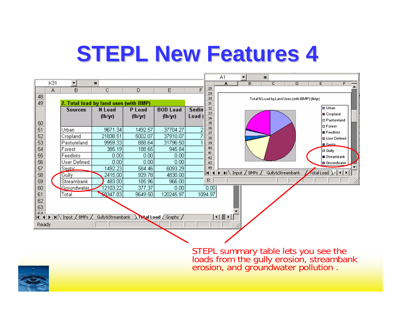#### **STEPL New Features 4 STEPL New Features 4**



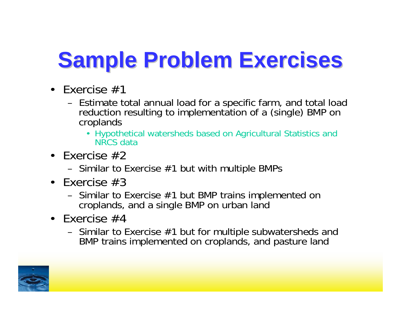# **Sample Problem Exercises Sample Problem Exercises**

- Exercise #1
	- Estimate total annual load for a specific farm, and total load reduction resulting to implementation of a (single) BMP on croplands
		- Hypothetical watersheds based on Agricultural Statistics and NRCS data
- Exercise #2
	- –Similar to Exercise #1 but with multiple BMPs
- Exercise #3
	- – Similar to Exercise #1 but BMP trains implemented on croplands, and a single BMP on urban land
- Exercise #4
	- – Similar to Exercise #1 but for multiple subwatersheds and BMP trains implemented on croplands, and pasture land

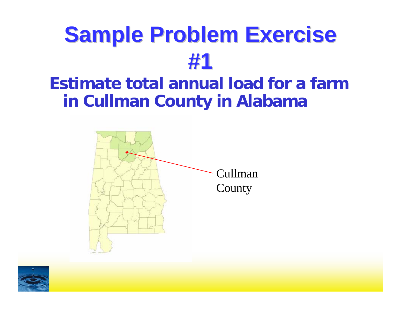#### **Estimate total annual load for a farm in Cullman County in Alabama**



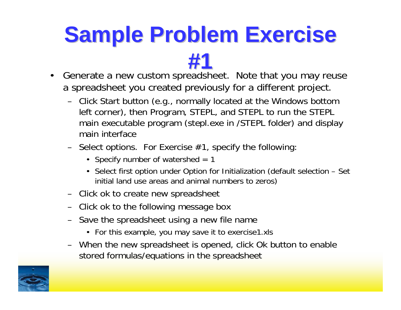- **#1**• Generate a new custom spreadsheet. Note that you may reuse a spreadsheet you created previously for a different project.
	- Click Start button (e.g., normally located at the Windows bottom left corner), then Program, STEPL, and STEPL to run the STEPL main executable program (stepl.exe in /STEPL folder) and display main interface
	- $-$  Select options. For Exercise  $\#1$ , specify the following:
		- Specify number of watershed = 1
		- Select first option under Option for Initialization (default selection Set initial land use areas and animal numbers to zeros)
	- Click ok to create new spreadsheet
	- Click ok to the following message box
	- Save the spreadsheet using a new file name
		- For this example, you may save it to exercise1.xls
	- When the new spreadsheet is opened, click Ok button to enable stored formulas/equations in the spreadsheet

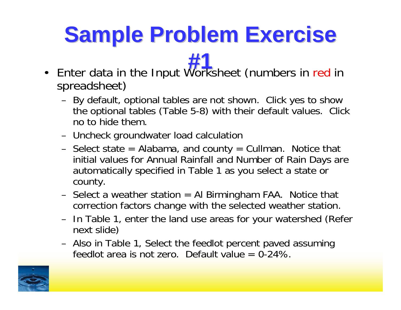- **#1** Enter data in the Input Worksheet (numbers in red in spreadsheet)
	- – By default, optional tables are not shown. Click yes to show the optional tables (Table 5-8) with their default values. Click no to hide them.
	- –Uncheck groundwater load calculation
	- – Select state = Alabama, and county = Cullman. Notice that initial values for Annual Rainfall and Number of Rain Days are automatically specified in Table 1 as you select a state or county.
	- –Select a weather station = AI Birmingham FAA. Notice that correction factors change with the selected weather station.
	- – In Table 1, enter the land use areas for your watershed (Refer next slide)
	- – Also in Table 1, Select the feedlot percent paved assuming feedlot area is not zero. Default value  $= 0.24\%$ .

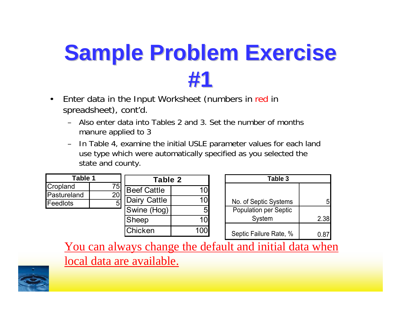- • Enter data in the Input Worksheet (numbers in red in spreadsheet), cont'd.
	- Also enter data into Tables 2 and 3. Set the number of months manure applied to 3
	- – In Table 4, examine the initial USLE parameter values for each land use type which were automatically specified as you selected the state and county.

| Table 1         |    | Table 2            |    |  |
|-----------------|----|--------------------|----|--|
| Cropland        | 75 | <b>Beef Cattle</b> | 10 |  |
| Pastureland     | 20 |                    |    |  |
| <b>Feedlots</b> |    | Dairy Cattle       |    |  |
|                 |    | Swine (Hog)        | 5  |  |
|                 |    | <b>Sheep</b>       |    |  |
|                 |    | Chicken            |    |  |

| Table 3                      |      |  |  |  |  |  |  |  |
|------------------------------|------|--|--|--|--|--|--|--|
|                              |      |  |  |  |  |  |  |  |
| No. of Septic Systems        |      |  |  |  |  |  |  |  |
| <b>Population per Septic</b> |      |  |  |  |  |  |  |  |
| System                       | 2.38 |  |  |  |  |  |  |  |
| Septic Failure Rate, %       | 0.8  |  |  |  |  |  |  |  |

You can always change the default and initial data when local data are available.

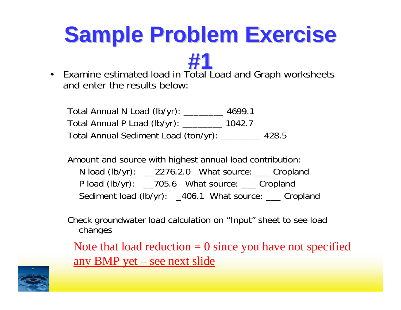**#1** $\bullet$  Examine estimated load in Total Load and Graph worksheets and enter the results below:

Total Annual N Load (lb/yr): \_\_\_\_\_\_\_\_ 4699.1 Total Annual P Load (lb/yr): \_\_\_\_\_\_\_\_ 1042.7 Total Annual Sediment Load (ton/yr): \_\_\_\_\_\_\_\_ 428.5

Amount and source with highest annual load contribution: N load (lb/yr): \_\_2276.2.0 What source: \_\_\_ Cropland P load (lb/yr): \_\_705.6 What source: \_\_\_ Cropland Sediment load (lb/yr): \_406.1 What source: \_\_\_ Cropland

Check groundwater load calculation on "Input" sheet to see load changes

Note that load reduction  $= 0$  since you have not specified any BMP yet – see next slide

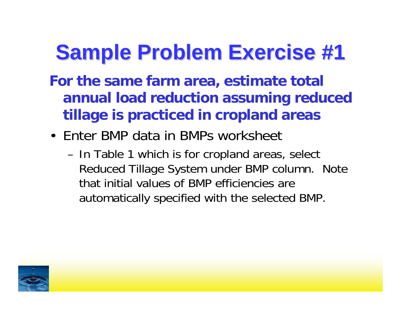#### **Sample Problem Exercise #1 Sample Problem Exercise #1**

- **For the same farm area, estimate total annual load reduction assuming reduced tillage is practiced in cropland areas**
- Enter BMP data in BMPs worksheet
	- – In Table 1 which is for cropland areas, select Reduced Tillage System under BMP column. Note that initial values of BMP efficiencies are automatically specified with the selected BMP.

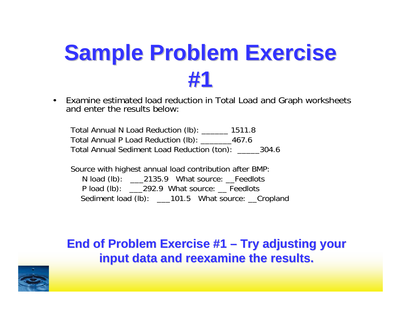• Examine estimated load reduction in Total Load and Graph worksheets and enter the results below:

Total Annual N Load Reduction (lb): \_\_\_\_\_\_ 1511.8 Total Annual P Load Reduction (lb): \_\_\_\_\_\_\_467.6 Total Annual Sediment Load Reduction (ton): \_\_\_\_\_304.6

Source with highest annual load contribution after BMP: N load (lb): \_\_\_\_2135.9 What source: \_\_Feedlots P load (lb): 292.9 What source: Feedlots Sediment load (lb): \_\_\_101.5 What source: \_\_Cropland

#### **End of Problem Exercise #1 End of Problem Exercise #1 – Try adjusting your Try adjusting your input data and reexamine the results. input data and reexamine the results.**

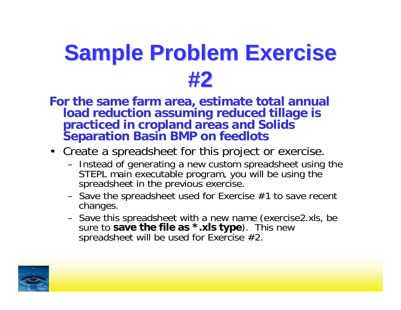**For the same farm area, estimate total annual load reduction assuming reduced tillage is practiced in cropland areas and Solids Separation Basin BMP on feedlots**

#### • Create a spreadsheet for this project or exercise.

- – Instead of generating a new custom spreadsheet using the STEPL main executable program, you will be using the spreadsheet in the previous exercise.
- – Save the spreadsheet used for Exercise #1 to save recent changes.
- – Save this spreadsheet with a new name (exercise2.xls, be sure to **save the file as \*.xls type**). This new spreadsheet will be used for Exercise #2.

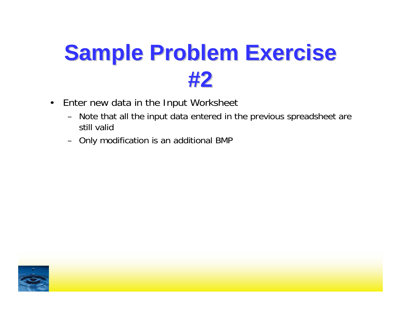- • Enter new data in the Input Worksheet
	- – Note that all the input data entered in the previous spreadsheet are still valid
	- Only modification is an additional BMP

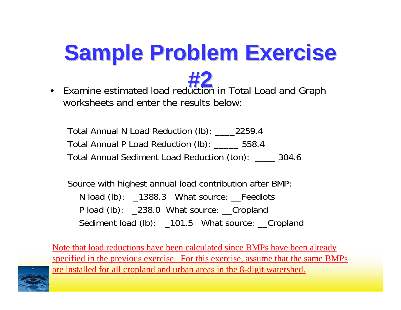

 $\bullet$ Examine estimated load reduction in Total Load and Graph worksheets and enter the results below:

Total Annual N Load Reduction (lb): \_\_\_\_2259.4 Total Annual P Load Reduction (lb): \_\_\_\_\_ 558.4 Total Annual Sediment Load Reduction (ton): \_\_\_\_ 304.6

Source with highest annual load contribution after BMP: N load (lb): \_1388.3 What source: \_\_Feedlots P load (lb): \_238.0 What source: \_\_Cropland Sediment load (lb): \_101.5 What source: \_\_Cropland

Note that load reductions have been calculated since BMPs have been already specified in the previous exercise. For this exercise, assume that the same BMPs are installed for all cropland and urban areas in the 8-digit watershed.

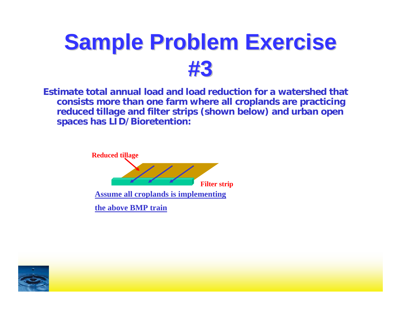

**Estimate total annual load and load reduction for a watershed that consists more than one farm where all croplands are practicing reduced tillage and filter strips (shown below) and urban open spaces has LID/Bioretention:**



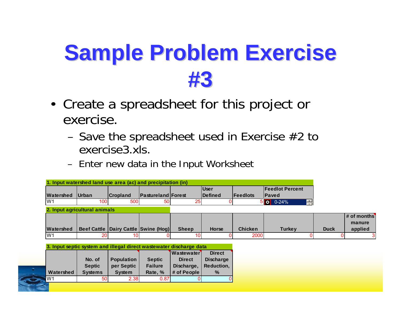- Create a spreadsheet for this project or exercise.
	- –Save the spreadsheet used in Exercise #2 to exercise3.xls.
	- –Enter new data in the Input Worksheet

| <b>Watershed</b> | <b>Urban</b>                                                        | <b>Cropland</b>                          | <b>Pastureland Forest</b> |                   | <b>User</b><br>Defined | Feedlots       | <b>Feedlot Percent</b><br><b>Paved</b> |             |                                    |
|------------------|---------------------------------------------------------------------|------------------------------------------|---------------------------|-------------------|------------------------|----------------|----------------------------------------|-------------|------------------------------------|
| W1               | 100                                                                 | <b>500</b>                               | 50                        | 25                |                        |                | $5$ 0 0-24%<br>H                       |             |                                    |
|                  | 2. Input agricultural animals                                       |                                          |                           |                   |                        |                |                                        |             |                                    |
| Watershed        |                                                                     | Beef Cattle   Dairy Cattle   Swine (Hog) |                           | <b>Sheep</b>      | <b>Horse</b>           | <b>Chicken</b> | Turkey                                 | <b>Duck</b> | $#$ of months<br>manure<br>applied |
| W1               | 20                                                                  | 10                                       |                           | 10I               |                        | 2000           |                                        |             |                                    |
|                  | 3. Input septic system and illegal direct wastewater discharge data |                                          |                           |                   |                        |                |                                        |             |                                    |
|                  |                                                                     |                                          |                           | <b>Wastewater</b> | <b>Direct</b>          |                |                                        |             |                                    |
|                  | No. of                                                              | <b>Population</b>                        | <b>Septic</b>             | <b>Direct</b>     | <b>Discharge</b>       |                |                                        |             |                                    |
|                  | <b>Septic</b>                                                       | per Septic                               | <b>Failure</b>            | Discharge,        | Reduction,             |                |                                        |             |                                    |
| Watershed        | <b>Systems</b>                                                      | <b>System</b>                            | Rate, %                   | # of People       | $\%$                   |                |                                        |             |                                    |
| W <sub>1</sub>   | 50                                                                  | 2.38                                     | 0.87                      | 0.                |                        |                |                                        |             |                                    |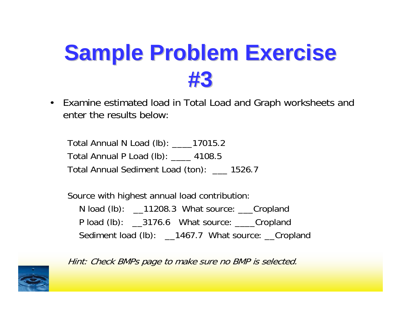$\bullet$  Examine estimated load in Total Load and Graph worksheets and enter the results below:

Total Annual N Load (lb): \_\_\_\_17015.2 Total Annual P Load (lb): \_\_\_\_ 4108.5 Total Annual Sediment Load (ton): \_\_\_ 1526.7

Source with highest annual load contribution: N load (lb): \_\_11208.3 What source: \_\_\_Cropland P load (lb): \_\_3176.6 What source: \_\_\_\_Cropland Sediment load (lb): \_\_1467.7 What source: \_\_Cropland



Hint: Check BMPs page to make sure no BMP is selected.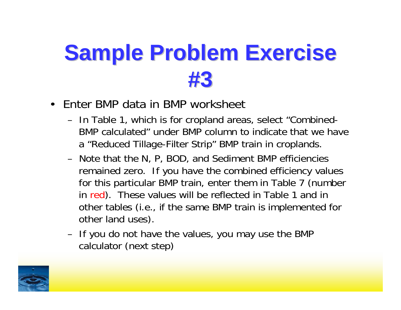- $\bullet$  Enter BMP data in BMP worksheet
	- – In Table 1, which is for cropland areas, select "Combined-BMP calculated" under BMP column to indicate that we have <sup>a</sup>"Reduced Tillage-Filter Strip" BMP train in croplands.
	- Note that the N, P, BOD, and Sediment BMP efficiencies remained zero. If you have the combined efficiency values for this particular BMP train, enter them in Table 7 (number in red). These values will be reflected in Table 1 and in other tables (i.e., if the same BMP train is implemented for other land uses).
	- – If you do not have the values, you may use the BMP calculator (next step)

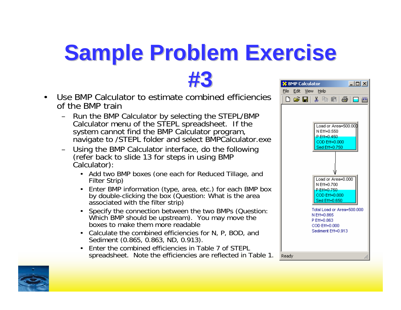**#3**

- $\bullet$  Use BMP Calculator to estimate combined efficiencies of the BMP train
	- Run the BMP Calculator by selecting the STEPL/BMP Calculator menu of the STEPL spreadsheet. If the system cannot find the BMP Calculator program, navigate to /STEPL folder and select BMP Calculator exe
	- Using the BMP Calculator interface, do the following (refer back to slide 13 for steps in using BMP Calculator):
		- Add two BMP boxes (one each for Reduced Tillage, and Filter Strip)
		- •Enter BMP information (type, area, etc.) for each BMP box by double-clicking the box (Question: What is the area associated with the filter strip)
		- • Specify the connection between the two BMPs (Question: Which BMP should be upstream). You may move the boxes to make them more readable
		- Calculate the combined efficiencies for N, P, BOD, and Sediment (0.865, 0.863, ND, 0.913).
		- Enter the combined efficiencies in Table 7 of STEPL spreadsheet. Note the efficiencies are reflected in Table 1.



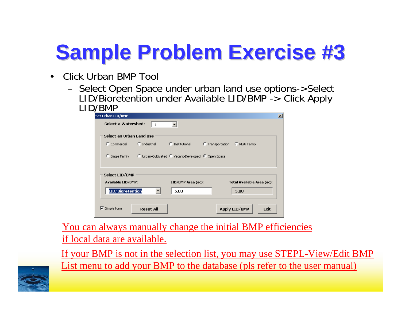- $\bullet$  Click Urban BMP Tool
	- – Select Open Space under urban land use options->Select LID/Bioretention under Available LID/BMP -> Click Apply

| Set Urban LID/BMP            |                       |                                                    |                                 | $\vert x \vert$ |
|------------------------------|-----------------------|----------------------------------------------------|---------------------------------|-----------------|
| Select a Watershed:          |                       |                                                    |                                 |                 |
| Select an Urban Land Use     |                       |                                                    |                                 |                 |
| $\Gamma$ Commercial          | $\bigcirc$ Industrial | C Institutional                                    | C Transportation C Multi Family |                 |
| Single Family                |                       | C Urban-Cultivated C Vacant-Developed C Open Space |                                 |                 |
| Select LID/BMP               |                       |                                                    |                                 |                 |
| <b>Available LID/BMP:</b>    |                       | LID/BMP Area (ac):                                 | Total Available Area (ac):      |                 |
| LID/Bioretention             |                       | 5.00                                               | 5.00                            |                 |
| $\triangleright$ Simple form | <b>Reset All</b>      |                                                    | Apply LID/BMP                   | Exit            |

You can always manually change the initial BMP efficiencies if local data are available.

If your BMP is not in the selection list, you may use STEPL-View/Edit BMP List menu to add your BMP to the database (pls refer to the user manual)

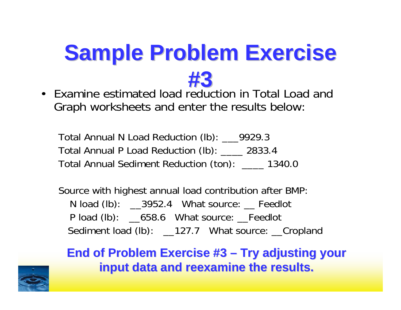

• Examine estimated load reduction in Total Load and Graph worksheets and enter the results below:

Total Annual N Load Reduction (lb): \_\_\_9929.3 Total Annual P Load Reduction (lb): \_\_\_\_ 2833.4 Total Annual Sediment Reduction (ton): \_\_\_\_ 1340.0

Source with highest annual load contribution after BMP: N load (lb): 2952.4 What source: Peedlot P load (lb): \_658.6 What source: \_Feedlot Sediment load (lb): \_\_127.7 What source: \_\_Cropland

**End of Problem Exercise #3 End of Problem Exercise #3 – Try adjusting your Try adjusting your input data and reexamine the results. input data and reexamine the results.**

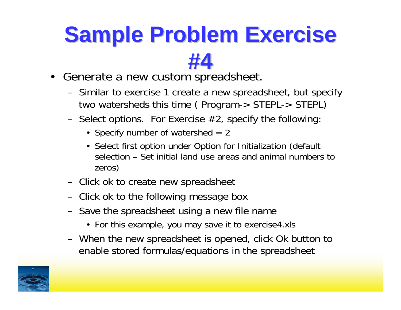#### **#4**

- Generate a new custom spreadsheet.
	- – Similar to exercise 1 create a new spreadsheet, but specify two watersheds this time ( Program-> STEPL-> STEPL)
	- –Select options. For Exercise  $#2$ , specify the following
		- Specify number of watershed = 2
		- Select first option under Option for Initialization (default selection – Set initial land use areas and animal numbers to zeros)
	- –Click ok to create new spreadsheet
	- –Click ok to the following message box
	- – Save the spreadsheet using a new file name
		- For this example, you may save it to exercise4.xls
	- – When the new spreadsheet is opened, click Ok button to enable stored formulas/equations in the spreadsheet

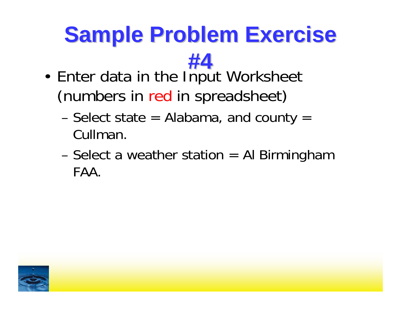- **#4**• Enter data in the Input Worksheet (numbers in red in spreadsheet)
	- Select state = Alabama, and county = Cullman.
	- Select a weather station = Al Birmingham FAA.

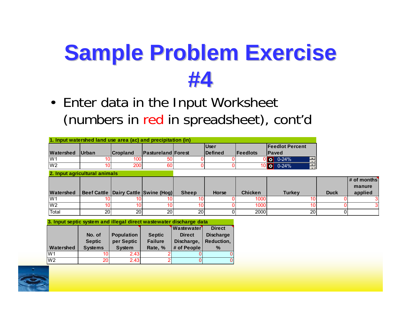• Enter data in the Input Worksheet (numbers in red in spreadsheet), cont'd

|                |                               |                 |                                          |                 | <b>User</b>    |                | <b>Feedlot Percent</b>                                                           |             |                         |
|----------------|-------------------------------|-----------------|------------------------------------------|-----------------|----------------|----------------|----------------------------------------------------------------------------------|-------------|-------------------------|
| Watershed      | <b>Urban</b>                  | <b>Cropland</b> | <b>Pastureland Forest</b>                |                 | <b>Defined</b> | Feedlots       | <b>IPaved</b>                                                                    |             |                         |
| W <sub>1</sub> |                               | 100             |                                          |                 |                |                | $\begin{array}{ c c c c c }\n\hline\n0&0&0&24\% \hline\n\end{array}$<br>$\equiv$ |             |                         |
| W <sub>2</sub> |                               | 200             | 60                                       |                 |                |                | $10$ o 0-24%<br>$\blacksquare$                                                   |             |                         |
|                | 2. Input agricultural animals |                 |                                          |                 |                |                |                                                                                  |             |                         |
|                |                               |                 |                                          |                 |                |                |                                                                                  |             | $#$ of months<br>manure |
| Watershed      |                               |                 | Beef Cattle   Dairy Cattle   Swine (Hog) | <b>Sheep</b>    | <b>Horse</b>   | <b>Chicken</b> | <b>Turkey</b>                                                                    | <b>Duck</b> | applied                 |
| W <sub>1</sub> |                               | 10              |                                          | 10              |                | 1000           |                                                                                  |             |                         |
| W <sub>2</sub> |                               | 10              |                                          | 10 <sub>1</sub> |                | 1000           |                                                                                  |             |                         |
| Total          | 20                            | 20 <sub>l</sub> | 20                                       | 20              |                | 2000           | 20                                                                               |             |                         |

**3. Input septic system and illegal direct wastewater discharge data**

|                |                |                   |                | <b>Wastewater</b> | <b>Direct</b>    |
|----------------|----------------|-------------------|----------------|-------------------|------------------|
|                | No. of         | <b>Population</b> | <b>Septic</b>  | <b>Direct</b>     | <b>Discharge</b> |
|                | <b>Septic</b>  | per Septic        | <b>Failure</b> | Discharge,        | Reduction,       |
| Watershed      |                |                   | Rate, %        | # of People       | $\frac{9}{6}$    |
|                | <b>Systems</b> | <b>System</b>     |                |                   |                  |
| W <sub>1</sub> |                | 2.43              |                |                   | 0                |

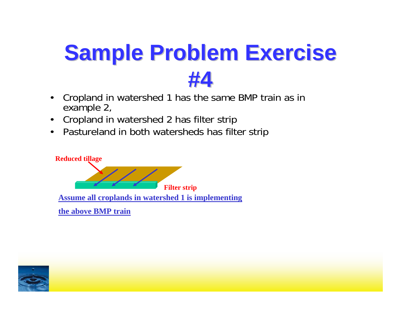- • Cropland in watershed 1 has the same BMP train as in example 2,
- •Cropland in watershed 2 has filter strip
- $\bullet$ Pastureland in both watersheds has filter strip



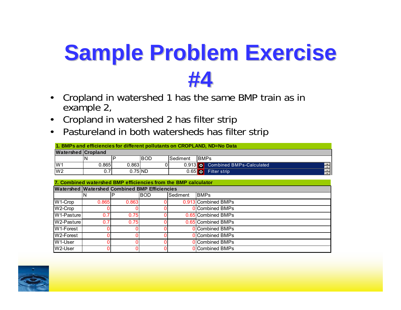- • Cropland in watershed 1 has the same BMP train as in example 2,
- $\bullet$ Cropland in watershed 2 has filter strip
- $\bullet$ Pastureland in both watersheds has filter strip

|                           | 1. BMPs and efficiencies for different pollutants on CROPLAND, ND=No Data |           |      |                 |                                  |  |  |  |  |  |
|---------------------------|---------------------------------------------------------------------------|-----------|------|-----------------|----------------------------------|--|--|--|--|--|
| <b>Watershed Cropland</b> |                                                                           |           |      |                 |                                  |  |  |  |  |  |
|                           |                                                                           |           | IBOD | <b>Sediment</b> | <b>BMPs</b>                      |  |  |  |  |  |
| W1                        | 0.865I                                                                    | 0.863     |      |                 | 0.913 O Combined BMPs-Calculated |  |  |  |  |  |
| W <sub>2</sub>            | 0.7I                                                                      | $0.75$ ND |      |                 | 0.65 0 Filter strip              |  |  |  |  |  |

|                        | 7. Combined watershed BMP efficiencies from the BMP calculator |       |            |          |                        |  |  |  |
|------------------------|----------------------------------------------------------------|-------|------------|----------|------------------------|--|--|--|
|                        | <b>Watershed Watershed Combined BMP Efficiencies</b>           |       |            |          |                        |  |  |  |
|                        | 'N                                                             |       | <b>BOD</b> | Sediment | <b>BMPs</b>            |  |  |  |
| $W1$ -Crop             | 0.865                                                          | 0.863 |            |          | 0.913 Combined BMPs    |  |  |  |
| W <sub>2</sub> -Crop   |                                                                |       |            |          | <b>O</b> Combined BMPs |  |  |  |
| W1-Pasture             | 0.7                                                            | 0.75  |            |          | 0.65 Combined BMPs     |  |  |  |
| IW2-Pasture l          | 0.7                                                            | 0.75  |            |          | 0.65 Combined BMPs     |  |  |  |
| W1-Forest              |                                                                |       |            |          | <b>O</b> Combined BMPs |  |  |  |
| W <sub>2</sub> -Forest |                                                                |       |            |          | <b>O</b> Combined BMPs |  |  |  |
| W1-User                |                                                                |       |            |          | OCombined BMPs         |  |  |  |
| W2-User                |                                                                |       |            |          | OCombined BMPs         |  |  |  |

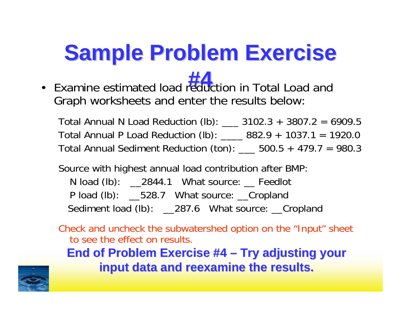• Examine estimated load reduction in Total Load and **#4** Graph worksheets and enter the results below:

Total Annual N Load Reduction (lb): \_\_\_ 3102.3 + 3807.2 = 6909.5 Total Annual P Load Reduction (lb): \_\_\_\_ 882.9 + 1037.1 = 1920.0 Total Annual Sediment Reduction (ton):  $\_\_\_$  500.5 + 479.7 = 980.3

Source with highest annual load contribution after BMP:

N load (lb): 2844.1 What source: Peedlot P load (lb): \_\_\_528.7 What source: \_\_Cropland Sediment load (lb): \_\_287.6 What source: \_\_Cropland

Check and uncheck the subwatershed option on the "Input" sheet to see the effect on results.

**End of Problem Exercise #4 End of Problem Exercise #4 – Try adjusting your Try adjusting your input data and reexamine the results. input data and reexamine the results.**

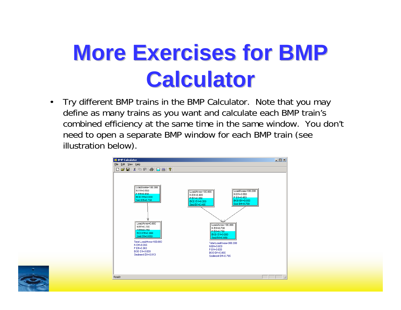### **More Exercises for BMP Calculator Calculator**

 $\bullet$  Try different BMP trains in the BMP Calculator. Note that you may define as many trains as you want and calculate each BMP train's combined efficiency at the same time in the same window. You don't need to open a separate BMP window for each BMP train (see illustration below).



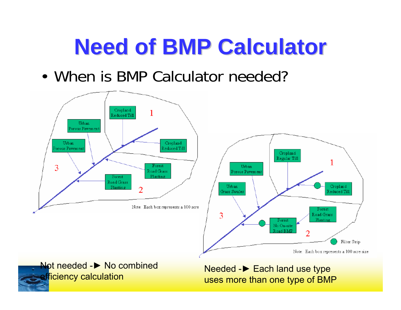#### **Need of BMP Calculator Need of BMP Calculator**

• When is BMP Calculator needed?





Needed -▶ Each land use type uses more than one type of BMP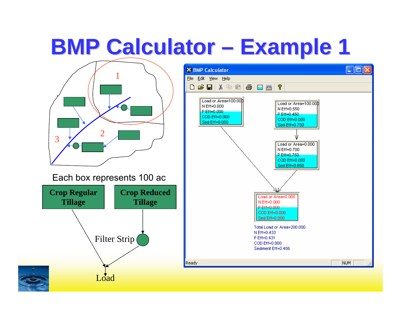#### **BMP Calculator · Example 1 Example 1**

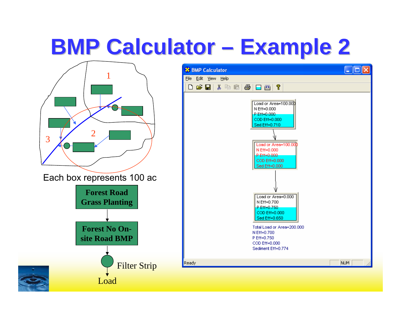#### **BMP Calculator · Example 2 Example 2**

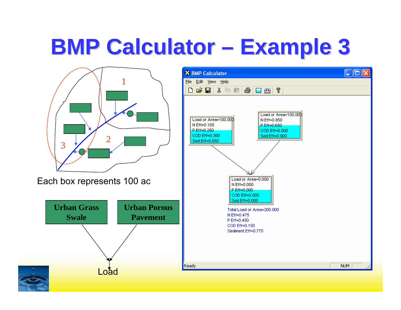#### **BMP Calculator · Example 3 Example 3**

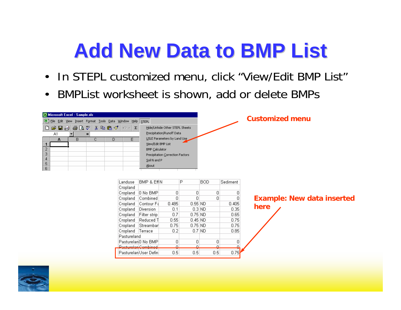#### **Add New Data to BMP List Add New Data to BMP List**

- In STEPL customized menu, click "View/Edit BMP List"
- $\bullet$ BMPList worksheet is shown, add or delete BMPs

ച

 $0.5$ 

Pacturalan Combined

Pasturelan User Defin

| Microsoft Excel - Sample.xls                                                                                    |                                                                                                                                                                                                                    |       |           |      |          |                                        |
|-----------------------------------------------------------------------------------------------------------------|--------------------------------------------------------------------------------------------------------------------------------------------------------------------------------------------------------------------|-------|-----------|------|----------|----------------------------------------|
| 편 File Edit View Insert Format Tools Data Window Help STEPL                                                     |                                                                                                                                                                                                                    |       |           |      |          | <b>Customized menu</b>                 |
| $D$ $\in$ $B$ $\oplus$ $B$ $\vee$ $ $<br>るも良ダ│の∼│<br>A1<br>$=$<br>B.<br>E.<br>С.<br>D.<br>А<br>2<br>3<br>5<br>6 | $\Sigma$<br>Hide/Unhide Other STEPL Sheets<br>Precipitation/Runoff Data<br>USLE Parameters by Land Use<br>View/Edit BMP List<br><b>BMP Calculator</b><br>Precipitation Correction Factors<br>Soil N and P<br>About |       |           |      |          |                                        |
| Landuse                                                                                                         | BMP & EffIN                                                                                                                                                                                                        |       | P         | BOD. | Sediment |                                        |
| Cropland                                                                                                        |                                                                                                                                                                                                                    |       |           |      |          |                                        |
| Cropland                                                                                                        | 10 No BMPI                                                                                                                                                                                                         | 0     | 0         |      | 0        | 0                                      |
| Cropland                                                                                                        | Combined                                                                                                                                                                                                           | 0     | $\Box$    |      | 0        | <b>Example: New data inserted</b><br>0 |
| Cropland                                                                                                        | Contour Fa                                                                                                                                                                                                         | 0.485 | 0.55 ND   |      | 0.405    | here                                   |
| Cropland                                                                                                        | Diversion                                                                                                                                                                                                          | 0.1   | 0.3 ND    |      | 0.35     |                                        |
| Cropland                                                                                                        | Filter strip                                                                                                                                                                                                       | 0.7   | 0.75 ND   |      | 0.65     |                                        |
| Cropland                                                                                                        | Reduced T                                                                                                                                                                                                          | 0.55  | 0.45 ND   |      | 0.75     |                                        |
| Cropland                                                                                                        | Streambar                                                                                                                                                                                                          | 0.75  | $0.75$ ND |      | 0.75     |                                        |
| Cropland                                                                                                        | Terrace                                                                                                                                                                                                            | 0.2   | $0.7$ ND  |      | 0.85     |                                        |
| Pastureland                                                                                                     |                                                                                                                                                                                                                    |       |           |      |          |                                        |
|                                                                                                                 | PasturelanO No BMP                                                                                                                                                                                                 | 0     | n.        |      | 0        | $\Omega$                               |

൧

 $0.5$ 

൶

0.75

 $0.5$ 

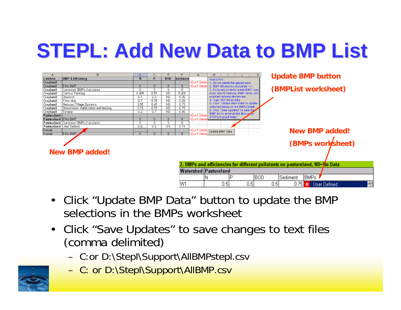#### **STEPL: Add New Data to BMP List STEPL: Add New Data to BMP List**



- Click "Update BMP Data" button to update the BMP selections in the BMPs worksheet
- $\bullet$  Click "Save Updates" to save changes to text files (comma delimited)
	- C:or D:\Stepl\Support\AllBMPstepl.csv
	- C: or D:\Stepl\Support\AllBMP.csv

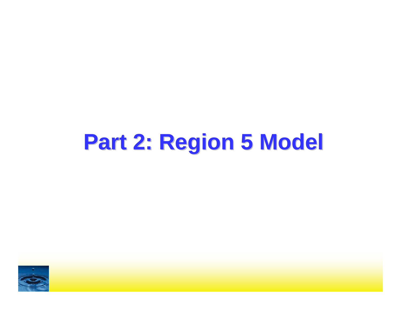#### **Part 2: Region 5 Model**

![](_page_47_Picture_1.jpeg)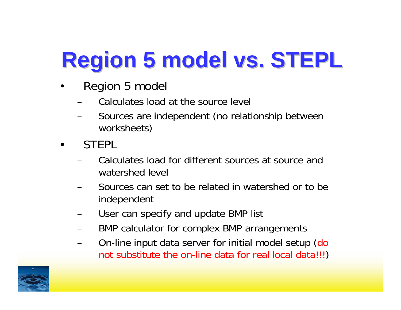# **Region 5 model vs. STEPL Region 5 model vs. STEPL**

- • Region 5 model
	- Calculates load at the source level
	- Sources are independent (no relationship between worksheets)
- •**STEPL** 
	- Calculates load for different sources at source and watershed level
	- Sources can set to be related in watershed or to be independent
	- User can specify and update BMP list
	- BMP calculator for complex BMP arrangements
	- On-line input data server for initial model setup (do not substitute the on-line data for real local data!!!)

![](_page_48_Picture_10.jpeg)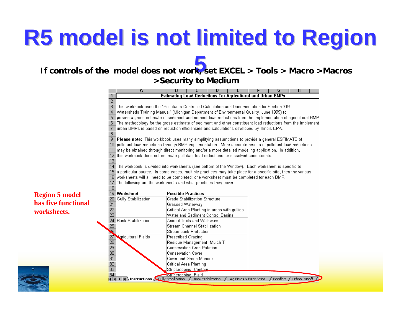## **R5 model is not limited to Region**

#### **5 If controls of the model does not work, set EXCEL > Tools > Macro >Macros >Security to Medium**

![](_page_49_Figure_2.jpeg)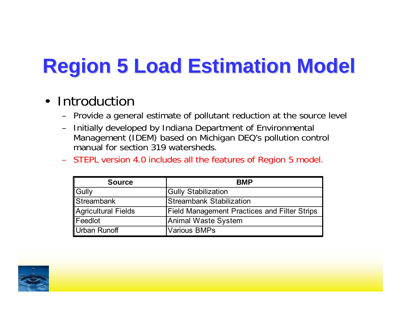#### **Region 5 Load Estimation Model Region 5 Load Estimation Model**

#### $\bullet$ Introduction

- –Provide a general estimate of pollutant reduction at the source level
- – Initially developed by Indiana Department of Environmental Management (IDEM) based on Michigan DEQ's pollution control manual for section 319 watersheds.
- STEPL version 4.0 includes all the features of Region 5 model.

| <b>Source</b>       | <b>BMP</b>                                          |
|---------------------|-----------------------------------------------------|
| <b>Gully</b>        | <b>Gully Stabilization</b>                          |
| <b>Streambank</b>   | Streambank Stabilization                            |
| Agricultural Fields | <b>Field Management Practices and Filter Strips</b> |
| <b>IFeedlot</b>     | Animal Waste System                                 |
| Urban Runoff        | <b>Various BMPs</b>                                 |

![](_page_50_Picture_6.jpeg)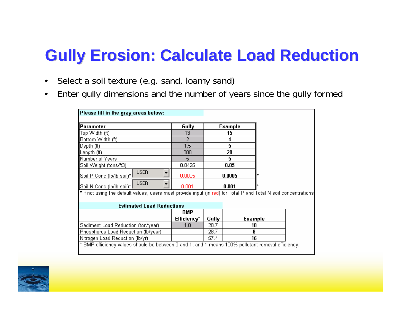#### **Gully Erosion: Calculate Load Reduction Gully Erosion: Calculate Load Reduction**

- $\bullet$ Select a soil texture (e.g. sand, loamy sand)
- •Enter gully dimensions and the number of years since the gully formed

| Please fill in the gray areas below:                                                                             |             |       |         |
|------------------------------------------------------------------------------------------------------------------|-------------|-------|---------|
| Parameter                                                                                                        | Gully       |       | Example |
| Top Width (ft)                                                                                                   | 13          |       | 15      |
| Bottom Width (ft)                                                                                                | 2           |       | 4       |
| ∥Depth (ft).                                                                                                     | 1.5         |       | 5       |
| ∥Length (ft)                                                                                                     | 300         |       | 20      |
| Number of Years                                                                                                  | 5.          |       | 5       |
| Soil Weight (tons/ft3)                                                                                           | 0.0425      |       | 0.05    |
| <b>USER</b><br>  Soil P Conc (lb/lb soil)*                                                                       | 0.0005      |       | 0.0005  |
| <b>USER</b><br>  Soil N Conc (lb/lb soil)*                                                                       | 0.001       |       | 0.001   |
| * If not using the default values, users must provide input (in red) for Total P and Total N soil concentrations |             |       |         |
| <b>Estimated Load Reductions</b>                                                                                 |             |       |         |
|                                                                                                                  | BMP         |       |         |
|                                                                                                                  | Efficiency* | Gully | Example |
| Sediment Load Reduction (ton/year)                                                                               | 1.0         | 28.7  | 10      |
| Phosphorus Load Reduction (lb/year)                                                                              |             | 28.7  | 8       |
| Nitrogen Load Reduction (lb/yr)                                                                                  |             | 57.4  | 16      |
| * BMP efficiency values should be between 0 and 1, and 1 means 100% pollutant removal efficiency.                |             |       |         |

![](_page_51_Picture_4.jpeg)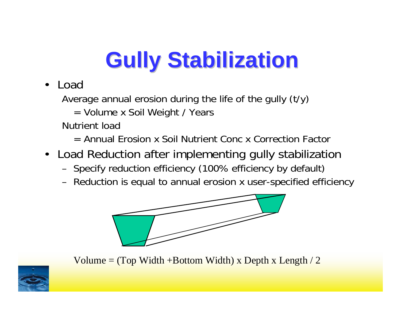# **Gully Stabilization Gully Stabilization**

 $\bullet$ Load

Average annual erosion during the life of the gully (t/y)

= Volume x Soil Weight / Years

Nutrient load

- = Annual Erosion x Soil Nutrient Conc x Correction Factor
- Load Reduction after implementing gully stabilization
	- Specify reduction efficiency (100% efficiency by default)
	- Reduction is equal to annual erosion x user-specified efficiency

![](_page_52_Figure_9.jpeg)

Volume  $=$  (Top Width +Bottom Width) x Depth x Length  $/2$ 

![](_page_52_Picture_11.jpeg)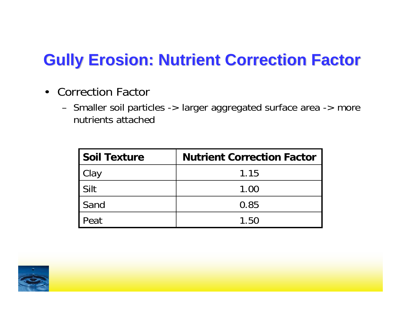#### **Gully Erosion: Nutrient Correction Factor Gully Erosion: Nutrient Correction Factor**

- $\bullet$  Correction Factor
	- Smaller soil particles -> larger aggregated surface area -> more nutrients attached

| <b>Soil Texture</b> | <b>Nutrient Correction Factor</b> |
|---------------------|-----------------------------------|
| Clay                | 1.15                              |
| Silt                | 1.00                              |
| Sand                | 0.85                              |
| Peat                | 1.50                              |

![](_page_53_Picture_4.jpeg)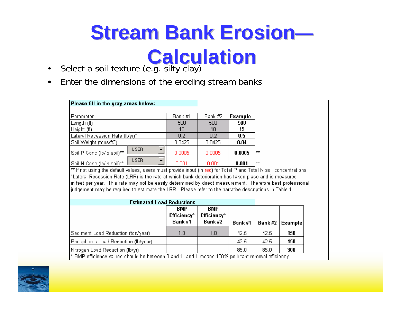# **Stream Bank Erosion Stream Bank Erosion**

#### **Calculation Calculation**

- $\bullet$ Select a soil texture (e.g. silty clay)
- $\bullet$ Enter the dimensions of the eroding stream banks

| Parameter                                                                                                         |             |  | Bank #1 | Bank #2 | Example |       |
|-------------------------------------------------------------------------------------------------------------------|-------------|--|---------|---------|---------|-------|
| Length (ft).                                                                                                      |             |  | 500     | 500     | 500     |       |
| Height (ft)                                                                                                       |             |  | 10      | 10      | 15      |       |
| Lateral Recession Rate (ft/yr)*                                                                                   |             |  | 0.2     | 0.2     | $0.5\,$ |       |
| Soil Weight (tons/ft3)                                                                                            |             |  | 0.0425  | 0.0425  | 0.04    |       |
| Soil P Conc (lb/lb soil)**                                                                                        | <b>USER</b> |  | 0.0005  | 0.0005  | 0.0005  | $***$ |
| Soil N Conc (lb/lb soil)**                                                                                        | <b>USER</b> |  | 0.001   | 0.001   | 0.001   | $+ +$ |
| ** If not using the default values, users must provide input (in red) for Total P and Total N soil concentrations |             |  |         |         |         |       |
| *Lateral Recession Rate (LRR) is the rate at which bank deterioration has taken place and is measured             |             |  |         |         |         |       |
| in feet per year. This rate may not be easily determined by direct measurement. Therefore best professional       |             |  |         |         |         |       |

judgement may be required to estimate the LRR. Please refer to the narrative descriptions in Table 1.

| <b>Estimated Load Reductions</b>                                                                       |                                     |                                     |        |               |         |
|--------------------------------------------------------------------------------------------------------|-------------------------------------|-------------------------------------|--------|---------------|---------|
|                                                                                                        | <b>BMP</b><br>Efficiency*<br>Bank#1 | <b>BMP</b><br>Efficiency*<br>Bank#2 | Bank#1 | <b>Bank#2</b> | Example |
| Sediment Load Reduction (ton/year)                                                                     | 1.0                                 | 1.0                                 | 42.5   | 42.5          | 150     |
| Phosphorus Load Reduction (lb/year)                                                                    |                                     |                                     | 42.5   | 42.5          | 150     |
| Nitrogen Load Reduction (lb/yr)                                                                        |                                     |                                     | 85.0   | 85.0          | 300     |
| $\,^*$ BMP efficiency values should be between 0 and 1, and 1 means 100% pollutant removal efficiency. |                                     |                                     |        |               |         |

![](_page_54_Picture_7.jpeg)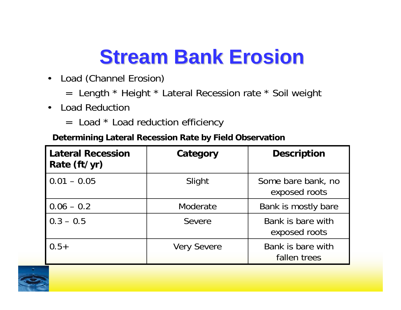#### **Stream Bank Erosion Stream Bank Erosion**

- $\bullet$  Load (Channel Erosion)
	- = Length \* Height \* Lateral Recession rate \* Soil weight
- $\bullet$  Load Reduction
	- $=$  Load  $*$  Load reduction efficiency

#### **Determining Lateral Recession Rate by Field Observation**

| <b>Lateral Recession</b><br>Rate (ft/yr) | Category           | <b>Description</b>                  |
|------------------------------------------|--------------------|-------------------------------------|
| $0.01 - 0.05$                            | Slight             | Some bare bank, no<br>exposed roots |
| $0.06 - 0.2$                             | Moderate           | Bank is mostly bare                 |
| $0.3 - 0.5$                              | Severe             | Bank is bare with<br>exposed roots  |
| $0.5+$                                   | <b>Very Severe</b> | Bank is bare with<br>fallen trees   |

![](_page_55_Picture_7.jpeg)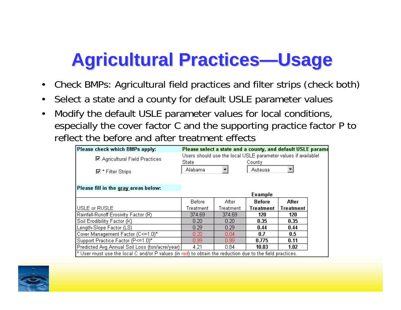#### **Agricultural Practices Agricultural Practices—Usage**

- •Check BMPs: Agricultural field practices and filter strips (check both)
- •Select a state and a county for default USLE parameter values
- • Modify the default USLE parameter values for local conditions, especially the cover factor C and the supporting practice factor P to reflect the before and after treatment effects

| Please check which BMPs apply:                                                                             | Please select a state and a county, and default USLE parame             |           |                   |                  |  |  |
|------------------------------------------------------------------------------------------------------------|-------------------------------------------------------------------------|-----------|-------------------|------------------|--|--|
| <b>☑</b> Agricultural Field Practices                                                                      | Users should use the local USLE parameter values if available!<br>State |           |                   |                  |  |  |
| $\overline{\boxtimes}$ * Filter Strips                                                                     | Alabama                                                                 |           | County<br>Autauga |                  |  |  |
| Please fill in the gray areas below:                                                                       |                                                                         |           |                   |                  |  |  |
|                                                                                                            |                                                                         |           | <b>Example</b>    |                  |  |  |
|                                                                                                            | Before                                                                  | After     | <b>Before</b>     | After            |  |  |
| USLE or RUSLE                                                                                              | Treatment                                                               | Treatment | <b>Treatment</b>  | <b>Treatment</b> |  |  |
| Rainfall-Runoff Erosivity Factor (R)                                                                       | 374.69                                                                  | 374.69    | 120.              | 120              |  |  |
| Soil Erodibility Factor (K)                                                                                | 0.20                                                                    | 0.20      | 0.35              | 0.35             |  |  |
| Length-Slope Factor (LS)                                                                                   | 0.29                                                                    | 0.29      | 0.44              | 0.44             |  |  |
| Cover Management Factor (C <= 1.0)*                                                                        | 0.20                                                                    | 0.04      | 0.7               | $0.5\,$          |  |  |
| Support Practice Factor (P<=1.0)*                                                                          | 0.99 <sub>1</sub>                                                       | 0.99      | 0.775             | 0.11             |  |  |
| Predicted Avg Annual Soil Loss (ton/acre/year)                                                             | 4.21                                                                    | 0.84      | 10.03             | 1.02             |  |  |
| $*$ User must use the local C and/or P values (in red) to obtain the reduction due to the field practices. |                                                                         |           |                   |                  |  |  |

![](_page_56_Picture_5.jpeg)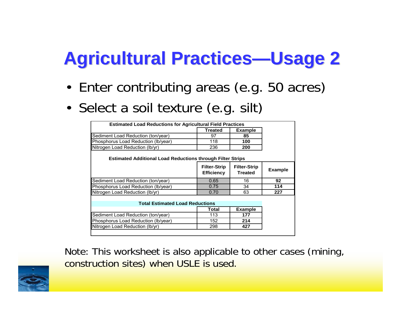#### **Agricultural Practices—Usage 2**

- •Enter contributing areas (e.g. 50 acres)
- •Select a soil texture (e.g. silt)

| <b>Estimated Load Reductions for Agricultural Field Practices</b> |                                          |                                       |                |
|-------------------------------------------------------------------|------------------------------------------|---------------------------------------|----------------|
|                                                                   | <b>Treated</b>                           | <b>Example</b>                        |                |
| Sediment Load Reduction (ton/year)                                | 97                                       | 85                                    |                |
| Phosphorus Load Reduction (Ib/year)                               | 118                                      | 100                                   |                |
| Nitrogen Load Reduction (Ib/yr)                                   | 236                                      | 200                                   |                |
| <b>Estimated Additional Load Reductions through Filter Strips</b> |                                          |                                       |                |
|                                                                   | <b>Filter-Strip</b><br><b>Efficiency</b> | <b>Filter-Strip</b><br><b>Treated</b> | <b>Example</b> |
| Sediment Load Reduction (ton/year)                                | 0.65                                     | 16                                    | 92             |
| Phosphorus Load Reduction (Ib/year)                               | 0.75                                     | 34                                    | 114            |
| Nitrogen Load Reduction (Ib/yr)                                   | 0.70                                     | 63                                    | 227            |
| <b>Total Estimated Load Reductions</b>                            |                                          |                                       |                |
|                                                                   | Total                                    | <b>Example</b>                        |                |
|                                                                   |                                          |                                       |                |
| Sediment Load Reduction (ton/year)                                | 113                                      | 177                                   |                |
| Phosphorus Load Reduction (lb/year)                               | 152                                      | 214                                   |                |

Note: This worksheet is also applicable to other cases (mining, construction sites) when USLE is used.

![](_page_57_Picture_5.jpeg)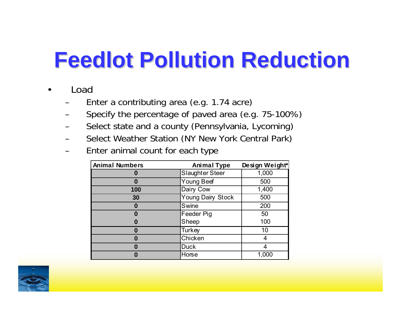### **Feedlot Pollution Reduction Feedlot Pollution Reduction**

- • Load
	- Enter a contributing area (e.g. 1.74 acre)
	- Specify the percentage of paved area (e.g. 75-100%)
	- Select state and a county (Pennsylvania, Lycoming)
	- Select Weather Station (NY New York Central Park)
	- Enter animal count for each type

| <b>Animal Numbers</b> | <b>Animal Type</b> | Design Weight* |
|-----------------------|--------------------|----------------|
|                       | Slaughter Steer    | 1,000          |
|                       | <b>Young Beef</b>  | 500            |
| 100                   | Dairy Cow          | 1,400          |
| 30                    | Young Dairy Stock  | 500            |
| n                     | Swine              | 200            |
|                       | Feeder Pig         | 50             |
|                       | Sheep              | 100            |
| O                     | Turkey             | 10             |
|                       | Chicken            |                |
| 0                     | <b>Duck</b>        |                |
|                       | Horse              | 1,000          |

![](_page_58_Picture_8.jpeg)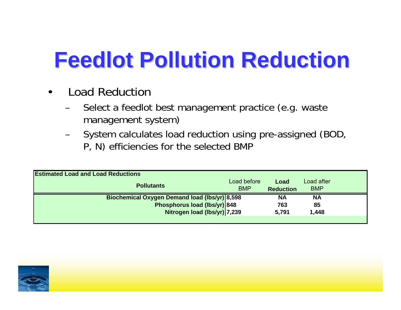### **Feedlot Pollution Reduction Feedlot Pollution Reduction**

- • Load Reduction
	- Select a feedlot best management practice (e.g. waste management system)
	- System calculates load reduction using pre-assigned (BOD, P, N) efficiencies for the selected BMP

| <b>Estimated Load and Load Reductions</b>            |                           |                          |                          |  |  |  |  |
|------------------------------------------------------|---------------------------|--------------------------|--------------------------|--|--|--|--|
| <b>Pollutants</b>                                    | Load before<br><b>BMP</b> | Load<br><b>Reduction</b> | Load after<br><b>BMP</b> |  |  |  |  |
| <b>Biochemical Oxygen Demand load (lbs/yr) 8,598</b> |                           | <b>NA</b>                | <b>NA</b>                |  |  |  |  |
| Phosphorus load (lbs/yr) 848                         |                           | 763                      | 85                       |  |  |  |  |
| Nitrogen load (lbs/yr) 7,239                         |                           | 5,791                    | 1,448                    |  |  |  |  |
|                                                      |                           |                          |                          |  |  |  |  |

![](_page_59_Picture_5.jpeg)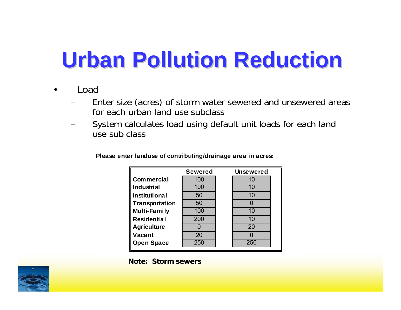### **Urban Pollution Reduction Urban Pollution Reduction**

- • Load
	- Enter size (acres) of storm water sewered and unsewered areas for each urban land use subclass
	- System calculates load using default unit loads for each land use sub class

|                     | <b>Sewered</b> | <b>Unsewered</b> |  |
|---------------------|----------------|------------------|--|
| <b>Commercial</b>   | 100            | 10               |  |
| <b>Industrial</b>   | 100            | 10               |  |
| Institutional       | 50             | 10               |  |
| Transportation      | 50             |                  |  |
| <b>Multi-Family</b> | 100            | 10               |  |
| Residential         | 200            | 10               |  |
| <b>Agriculture</b>  |                | 20               |  |
| Vacant              | 20             |                  |  |
| <b>Open Space</b>   | 250            | 250              |  |

**Please enter landuse of contributing/drainage area in acres:**

**Note: Storm sewers**

![](_page_60_Picture_7.jpeg)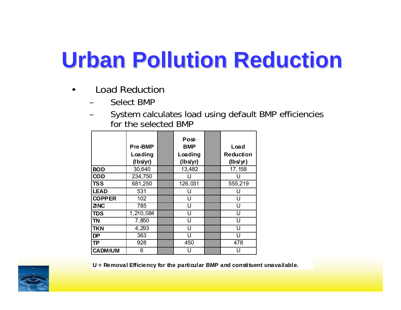### **Urban Pollution Reduction Urban Pollution Reduction**

- • Load Reduction
	- Select BMP
	- System calculates load using default BMP efficiencies for the selected BMP

|                | Pre-BMP<br>Loading<br>(lbs/yr) | Post-<br><b>BMP</b><br>Loading<br>(lbs/yr) | Load<br><b>Reduction</b><br>(lbs/yr) |
|----------------|--------------------------------|--------------------------------------------|--------------------------------------|
| <b>BOD</b>     | 30,640                         | 13,482                                     | 17, 158                              |
| <b>COD</b>     | 234,750                        |                                            |                                      |
| <b>TSS</b>     | 681,250                        | 126,031                                    | 555,219                              |
| <b>LEAD</b>    | 531                            | U                                          | U                                    |
| <b>COPPER</b>  | 102                            | U                                          | U                                    |
| <b>ZNC</b>     | 785                            | U                                          | U                                    |
| <b>TDS</b>     | 1,210,084                      | U                                          | Н                                    |
| <b>TN</b>      | 7,850                          | U                                          | U                                    |
| <b>TKN</b>     | 4,293                          | U                                          | U                                    |
| <b>DP</b>      | 363                            | U                                          | Н                                    |
| <b>TP</b>      | 928                            | 450                                        | 478                                  |
| <b>CADMIUM</b> | 6                              |                                            |                                      |

![](_page_61_Picture_5.jpeg)

**U = Removal Efficiency for the particular BMP and constituent unavailable.**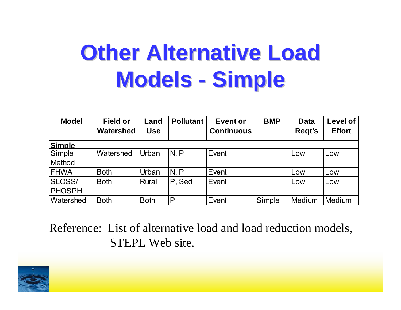#### **Other Alternative Load Models Simple**

| <b>Model</b>     | <b>Field or</b><br>Watershed | Land<br><b>Use</b> | <b>Pollutant</b> | <b>Event or</b><br><b>Continuous</b> | <b>BMP</b> | <b>Data</b><br>Regt's | <b>Level of</b><br><b>Effort</b> |
|------------------|------------------------------|--------------------|------------------|--------------------------------------|------------|-----------------------|----------------------------------|
| <b>Simple</b>    |                              |                    |                  |                                      |            |                       |                                  |
| Simple           | Watershed                    | Urban              | N, P             | Event                                |            | Low                   | Low                              |
| Method           |                              |                    |                  |                                      |            |                       |                                  |
| <b>FHWA</b>      | <b>Both</b>                  | Urban              | N, P             | Event                                |            | Low                   | Low                              |
| <b>SLOSS/</b>    | <b>Both</b>                  | <b>Rural</b>       | P, Sed           | Event                                |            | Low                   | Low                              |
| <b>PHOSPH</b>    |                              |                    |                  |                                      |            |                       |                                  |
| <b>Watershed</b> | <b>Both</b>                  | <b>Both</b>        | P                | Event                                | Simple     | Medium                | Medium                           |

Reference: List of alternative load and load reduction models, STEPL Web site.

![](_page_62_Picture_3.jpeg)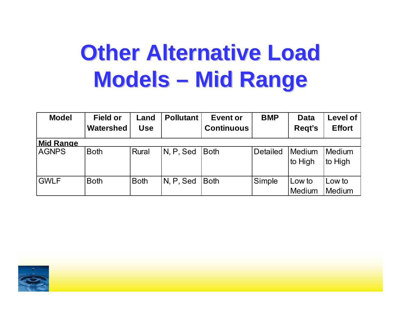#### **Other Alternative Load Models Mid Range Mid Range**

| <b>Model</b>     | <b>Field or</b><br>Watershed | Land<br><b>Use</b> | <b>Pollutant</b> | <b>Event or</b><br><b>Continuous</b> | <b>BMP</b>      | <b>Data</b><br>Regt's | <b>Level of</b><br><b>Effort</b> |
|------------------|------------------------------|--------------------|------------------|--------------------------------------|-----------------|-----------------------|----------------------------------|
| <b>Mid Range</b> |                              |                    |                  |                                      |                 |                       |                                  |
| <b>AGNPS</b>     | <b>Both</b>                  | Rural              | IN, P, Sed       | <b>Both</b>                          | <b>Detailed</b> | Medium<br>to High     | Medium<br>to High                |
| <b>GWLF</b>      | <b>Both</b>                  | <b>Both</b>        | IN, P, Sed       | <b>Both</b>                          | Simple          | Low to<br>Medium      | Low to<br>Medium                 |

![](_page_63_Picture_2.jpeg)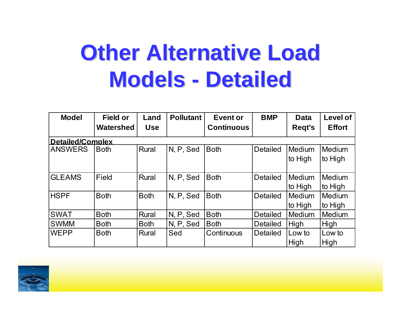#### **Other Alternative Load Models - Detailed**

| <b>Model</b>            | <b>Field or</b><br>Watershed | Land<br><b>Use</b> | <b>Pollutant</b> | <b>Event or</b><br><b>Continuous</b> | <b>BMP</b>      | <b>Data</b><br>Regt's    | <b>Level of</b><br><b>Effort</b> |  |  |  |
|-------------------------|------------------------------|--------------------|------------------|--------------------------------------|-----------------|--------------------------|----------------------------------|--|--|--|
| <b>Detailed/Complex</b> |                              |                    |                  |                                      |                 |                          |                                  |  |  |  |
| <b>ANSWERS</b>          | <b>Both</b>                  | Rural              | N, P, Sed        | <b>Both</b>                          | <b>Detailed</b> | <b>Medium</b><br>to High | Medium<br>to High                |  |  |  |
| <b>GLEAMS</b>           | <b>Field</b>                 | Rural              | N, P, Sed        | <b>Both</b>                          | <b>Detailed</b> | <b>Medium</b><br>to High | Medium<br>to High                |  |  |  |
| <b>HSPF</b>             | <b>Both</b>                  | <b>Both</b>        | N, P, Sed        | <b>Both</b>                          | <b>Detailed</b> | <b>Medium</b><br>to High | Medium<br>to High                |  |  |  |
| <b>SWAT</b>             | <b>Both</b>                  | Rural              | N, P, Sed        | <b>Both</b>                          | <b>Detailed</b> | Medium                   | Medium                           |  |  |  |
| <b>SWMM</b>             | <b>Both</b>                  | <b>Both</b>        | N, P, Sed        | <b>Both</b>                          | <b>Detailed</b> | High                     | High                             |  |  |  |
| <b>WEPP</b>             | <b>Both</b>                  | Rural              | Sed              | Continuous                           | <b>Detailed</b> | Low to<br>High           | Low to<br>High                   |  |  |  |

![](_page_64_Picture_2.jpeg)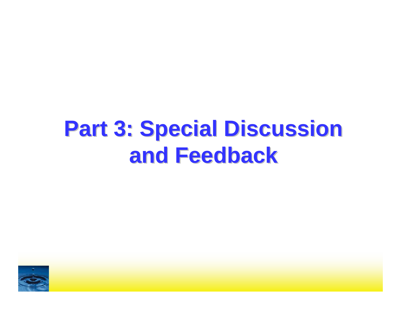#### **Part 3: Special Discussion Part 3: Special Discussion and Feedback and Feedback**

![](_page_65_Picture_1.jpeg)